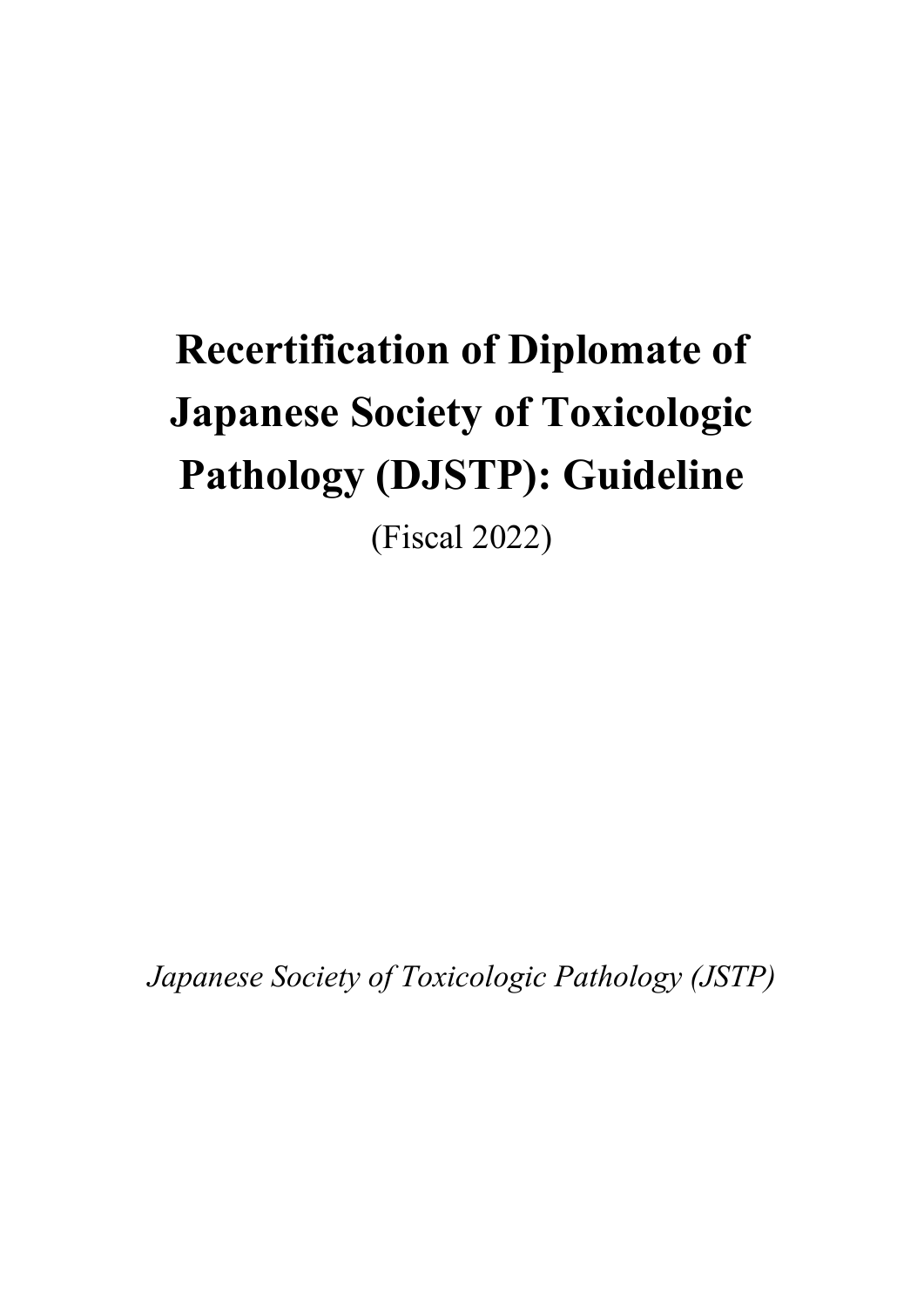# **Recertification of Diplomate of Japanese Society of Toxicologic Pathology (DJSTP): Guideline**

(Fiscal 2022)

*Japanese Society of Toxicologic Pathology (JSTP)*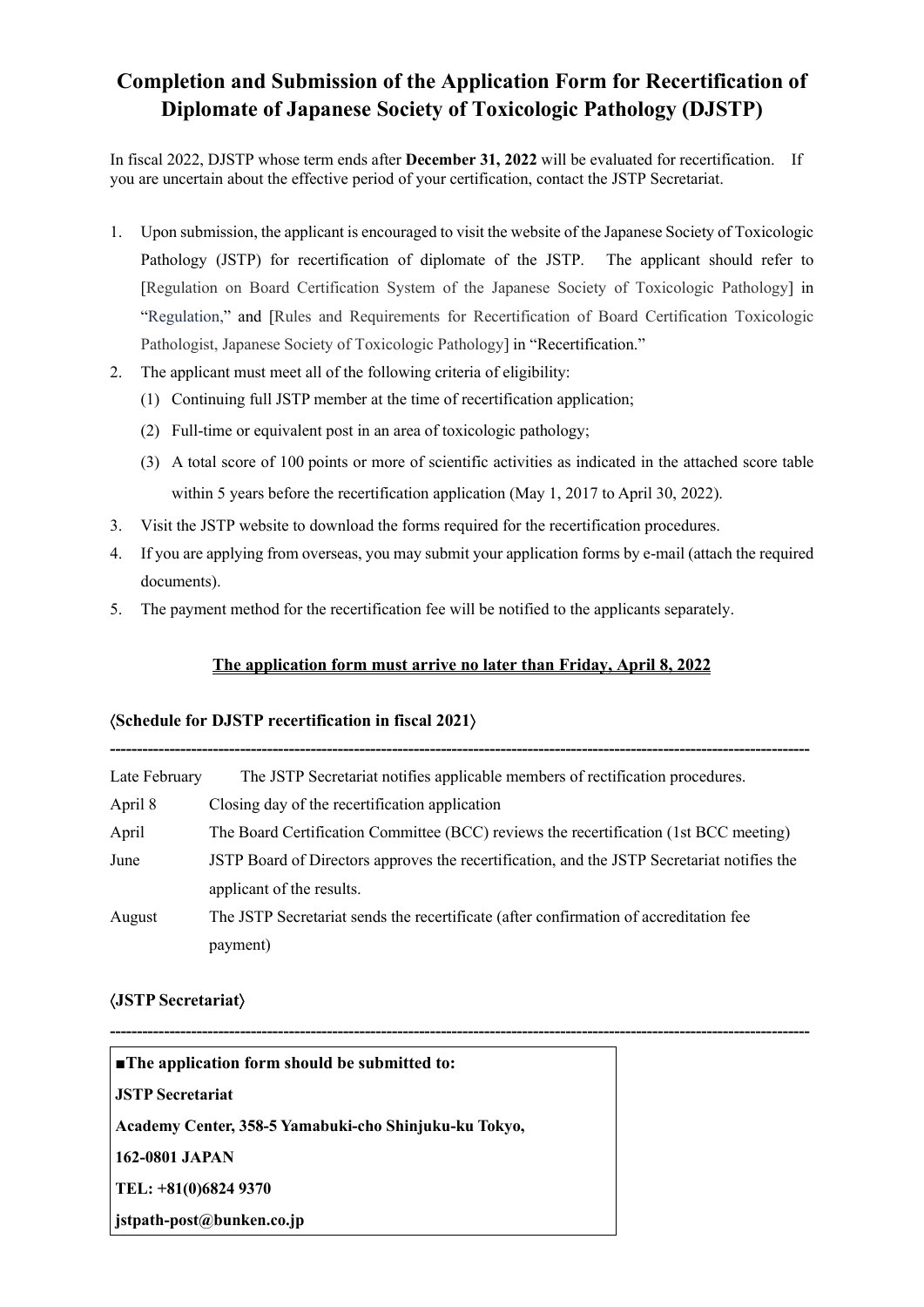### **Completion and Submission of the Application Form for Recertification of Diplomate of Japanese Society of Toxicologic Pathology (DJSTP)**

In fiscal 2022, DJSTP whose term ends after **December 31, 2022** will be evaluated for recertification. If you are uncertain about the effective period of your certification, contact the JSTP Secretariat.

- 1. Upon submission, the applicant is encouraged to visit the website of the Japanese Society of Toxicologic Pathology (JSTP) for recertification of diplomate of the JSTP. The applicant should refer to [Regulation on Board Certification System of the Japanese Society of Toxicologic Pathology] in "Regulation," and [Rules and Requirements for Recertification of Board Certification Toxicologic Pathologist, Japanese Society of Toxicologic Pathology] in "Recertification."
- 2. The applicant must meet all of the following criteria of eligibility:
	- (1) Continuing full JSTP member at the time of recertification application;
	- (2) Full-time or equivalent post in an area of toxicologic pathology;
	- (3) A total score of 100 points or more of scientific activities as indicated in the attached score table within 5 years before the recertification application (May 1, 2017 to April 30, 2022).
- 3. Visit the JSTP website to download the forms required for the recertification procedures.
- 4. If you are applying from overseas, you may submit your application forms by e-mail (attach the required documents).
- 5. The payment method for the recertification fee will be notified to the applicants separately.

#### **The application form must arrive no later than Friday, April 8, 2022**

**---------------------------------------------------------------------------------------------------------------------------------**

#### á**Schedule for DJSTP recertification in fiscal 2021**ñ

| Late February | The JSTP Secretariat notifies applicable members of rectification procedures.               |
|---------------|---------------------------------------------------------------------------------------------|
| April 8       | Closing day of the recertification application                                              |
| April         | The Board Certification Committee (BCC) reviews the recertification (1st BCC meeting)       |
| June          | JSTP Board of Directors approves the recertification, and the JSTP Secretariat notifies the |
|               | applicant of the results.                                                                   |
| August        | The JSTP Secretariat sends the recertificate (after confirmation of accreditation fee       |
|               | payment)                                                                                    |

**---------------------------------------------------------------------------------------------------------------------------------** 

#### á**JSTP Secretariat**ñ

| $\blacksquare$ The application form should be submitted to: |  |
|-------------------------------------------------------------|--|
| <b>JSTP</b> Secretariat                                     |  |
| Academy Center, 358-5 Yamabuki-cho Shinjuku-ku Tokyo,       |  |
| 162-0801 JAPAN                                              |  |
| TEL: +81(0)6824 9370                                        |  |
| stpath-post@bunken.co.jp                                    |  |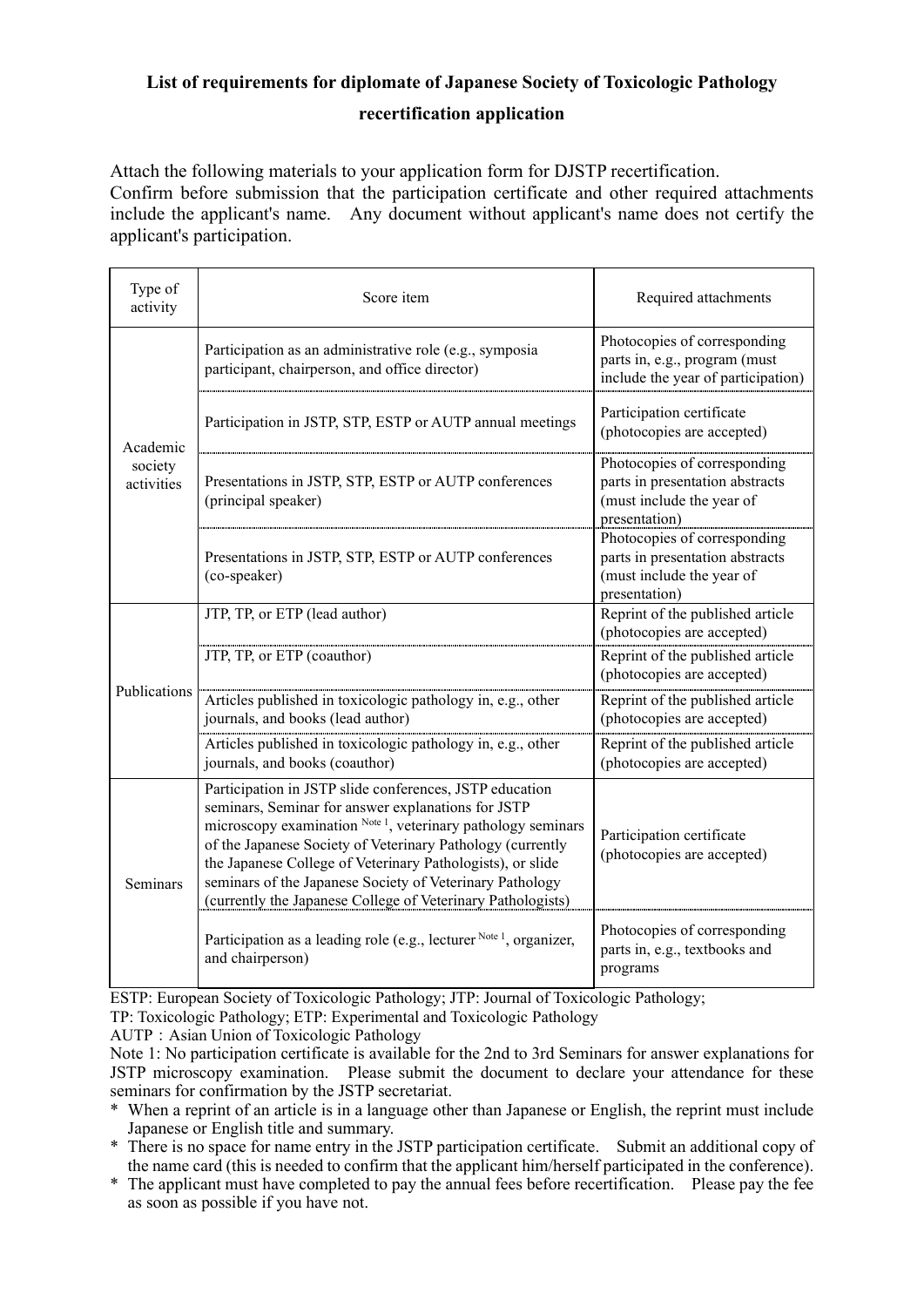## **List of requirements for diplomate of Japanese Society of Toxicologic Pathology**

#### **recertification application**

Attach the following materials to your application form for DJSTP recertification. Confirm before submission that the participation certificate and other required attachments include the applicant's name. Any document without applicant's name does not certify the applicant's participation.

| Type of<br>activity               | Score item                                                                                                                                                                                                                                                                                                                                                                                                                           | Required attachments                                                                                          |  |
|-----------------------------------|--------------------------------------------------------------------------------------------------------------------------------------------------------------------------------------------------------------------------------------------------------------------------------------------------------------------------------------------------------------------------------------------------------------------------------------|---------------------------------------------------------------------------------------------------------------|--|
| Academic<br>society<br>activities | Participation as an administrative role (e.g., symposia<br>participant, chairperson, and office director)                                                                                                                                                                                                                                                                                                                            | Photocopies of corresponding<br>parts in, e.g., program (must<br>include the year of participation)           |  |
|                                   | Participation in JSTP, STP, ESTP or AUTP annual meetings                                                                                                                                                                                                                                                                                                                                                                             | Participation certificate<br>(photocopies are accepted)                                                       |  |
|                                   | Presentations in JSTP, STP, ESTP or AUTP conferences<br>(principal speaker)                                                                                                                                                                                                                                                                                                                                                          | Photocopies of corresponding<br>parts in presentation abstracts<br>(must include the year of<br>presentation) |  |
|                                   | Presentations in JSTP, STP, ESTP or AUTP conferences<br>(co-speaker)                                                                                                                                                                                                                                                                                                                                                                 | Photocopies of corresponding<br>parts in presentation abstracts<br>(must include the year of<br>presentation) |  |
| Publications                      | JTP, TP, or ETP (lead author)                                                                                                                                                                                                                                                                                                                                                                                                        | Reprint of the published article<br>(photocopies are accepted)                                                |  |
|                                   | JTP, TP, or ETP (coauthor)                                                                                                                                                                                                                                                                                                                                                                                                           | Reprint of the published article<br>(photocopies are accepted)                                                |  |
|                                   | Articles published in toxicologic pathology in, e.g., other<br>journals, and books (lead author)                                                                                                                                                                                                                                                                                                                                     | Reprint of the published article<br>(photocopies are accepted)                                                |  |
|                                   | Articles published in toxicologic pathology in, e.g., other<br>journals, and books (coauthor)                                                                                                                                                                                                                                                                                                                                        | Reprint of the published article<br>(photocopies are accepted)                                                |  |
| Seminars                          | Participation in JSTP slide conferences, JSTP education<br>seminars, Seminar for answer explanations for JSTP<br>microscopy examination Note 1, veterinary pathology seminars<br>of the Japanese Society of Veterinary Pathology (currently<br>the Japanese College of Veterinary Pathologists), or slide<br>seminars of the Japanese Society of Veterinary Pathology<br>(currently the Japanese College of Veterinary Pathologists) | Participation certificate<br>(photocopies are accepted)                                                       |  |
|                                   | Participation as a leading role (e.g., lecturer $\frac{Note\ 1}{1}$ , organizer,<br>and chairperson)                                                                                                                                                                                                                                                                                                                                 | Photocopies of corresponding<br>parts in, e.g., textbooks and<br>programs                                     |  |

ESTP: European Society of Toxicologic Pathology; JTP: Journal of Toxicologic Pathology;

TP: Toxicologic Pathology; ETP: Experimental and Toxicologic Pathology

AUTP:Asian Union of Toxicologic Pathology

Note 1: No participation certificate is available for the 2nd to 3rd Seminars for answer explanations for JSTP microscopy examination. Please submit the document to declare your attendance for these seminars for confirmation by the JSTP secretariat.

- \* When a reprint of an article is in a language other than Japanese or English, the reprint must include Japanese or English title and summary.
- \* There is no space for name entry in the JSTP participation certificate. Submit an additional copy of the name card (this is needed to confirm that the applicant him/herself participated in the conference).
- \* The applicant must have completed to pay the annual fees before recertification. Please pay the fee as soon as possible if you have not.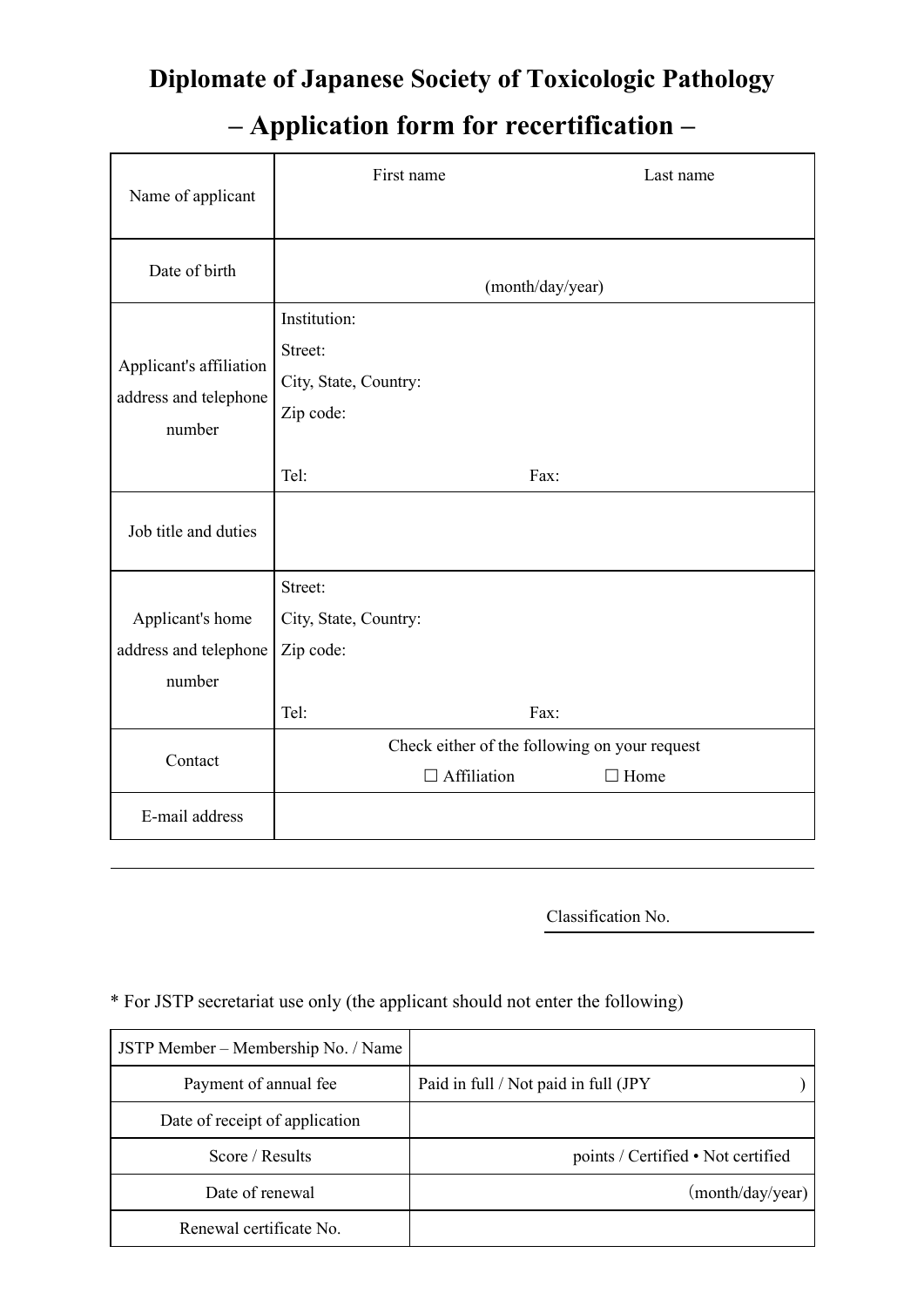# **Diplomate of Japanese Society of Toxicologic Pathology**

# **– Application form for recertification –**

| Name of applicant                                          | First name<br>Last name                                                       |             |  |  |
|------------------------------------------------------------|-------------------------------------------------------------------------------|-------------|--|--|
| Date of birth                                              | (month/day/year)                                                              |             |  |  |
| Applicant's affiliation<br>address and telephone<br>number | Institution:<br>Street:<br>City, State, Country:<br>Zip code:<br>Tel:<br>Fax: |             |  |  |
| Job title and duties                                       |                                                                               |             |  |  |
| Applicant's home<br>address and telephone<br>number        | Street:<br>City, State, Country:<br>Zip code:<br>Tel:<br>Fax:                 |             |  |  |
| Contact                                                    | Check either of the following on your request<br>$\Box$ Affiliation           | $\Box$ Home |  |  |
| E-mail address                                             |                                                                               |             |  |  |

Classification No.

## \* For JSTP secretariat use only (the applicant should not enter the following)

| JSTP Member – Membership No. / Name |                                      |
|-------------------------------------|--------------------------------------|
| Payment of annual fee               | Paid in full / Not paid in full (JPY |
| Date of receipt of application      |                                      |
| Score / Results                     | points / Certified • Not certified   |
| Date of renewal                     | (month/day/year)                     |
| Renewal certificate No.             |                                      |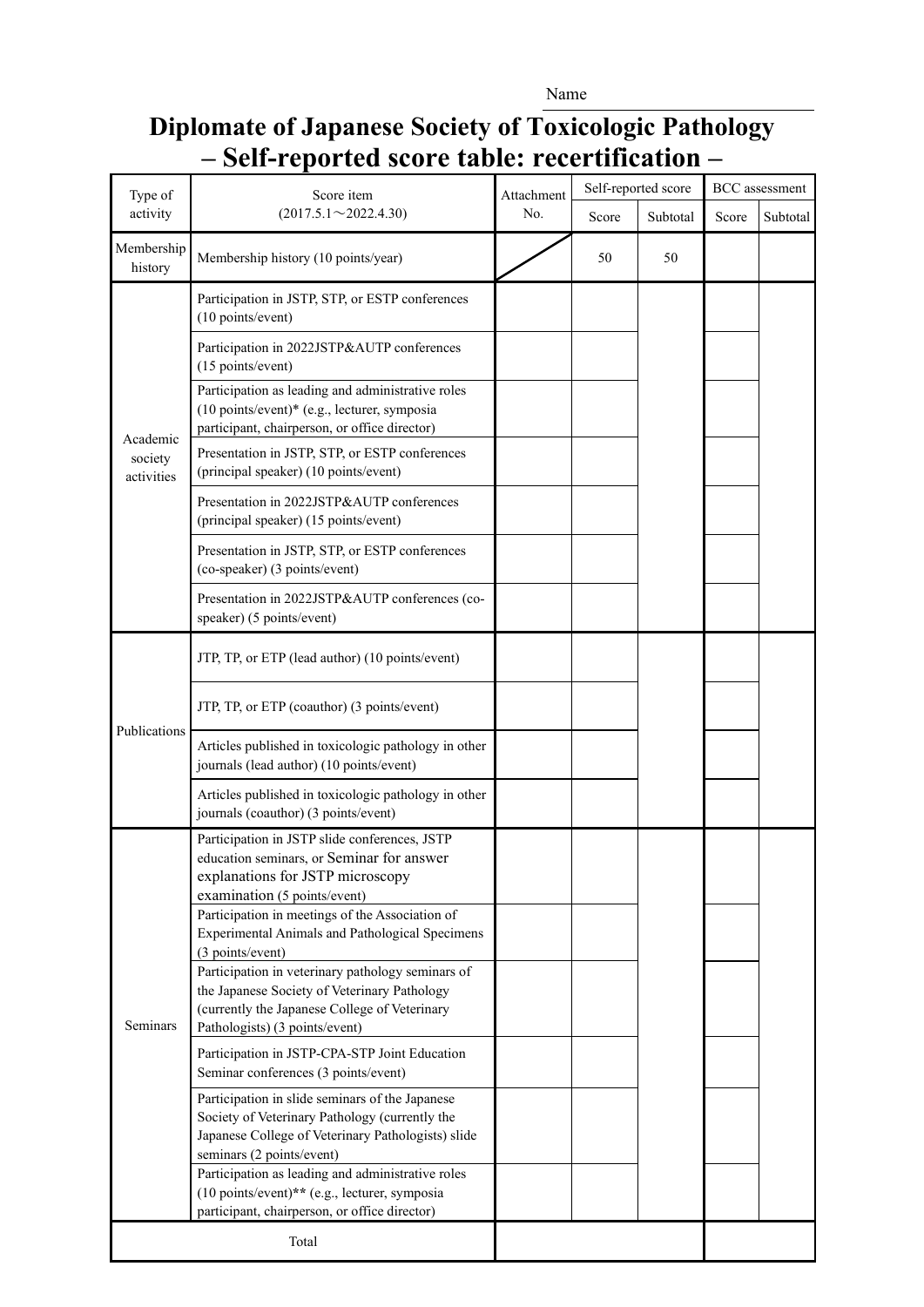#### Name

## **Diplomate of Japanese Society of Toxicologic Pathology – Self-reported score table: recertification –**

| Type of<br>activity               | Score item<br>$(2017.5.1 \sim 2022.4.30)$                                                                                                                                            | Attachment<br>No. | Self-reported score |          | <b>BCC</b> assessment |          |
|-----------------------------------|--------------------------------------------------------------------------------------------------------------------------------------------------------------------------------------|-------------------|---------------------|----------|-----------------------|----------|
|                                   |                                                                                                                                                                                      |                   | Score               | Subtotal | Score                 | Subtotal |
| Membership<br>history             | Membership history (10 points/year)                                                                                                                                                  |                   | 50                  | 50       |                       |          |
| Academic<br>society<br>activities | Participation in JSTP, STP, or ESTP conferences<br>(10 points/event)                                                                                                                 |                   |                     |          |                       |          |
|                                   | Participation in 2022JSTP&AUTP conferences<br>(15 points/event)                                                                                                                      |                   |                     |          |                       |          |
|                                   | Participation as leading and administrative roles<br>(10 points/event)* (e.g., lecturer, symposia<br>participant, chairperson, or office director)                                   |                   |                     |          |                       |          |
|                                   | Presentation in JSTP, STP, or ESTP conferences<br>(principal speaker) (10 points/event)                                                                                              |                   |                     |          |                       |          |
|                                   | Presentation in 2022JSTP&AUTP conferences<br>(principal speaker) (15 points/event)                                                                                                   |                   |                     |          |                       |          |
|                                   | Presentation in JSTP, STP, or ESTP conferences<br>(co-speaker) (3 points/event)                                                                                                      |                   |                     |          |                       |          |
|                                   | Presentation in 2022JSTP&AUTP conferences (co-<br>speaker) (5 points/event)                                                                                                          |                   |                     |          |                       |          |
| Publications                      | JTP, TP, or ETP (lead author) (10 points/event)                                                                                                                                      |                   |                     |          |                       |          |
|                                   | JTP, TP, or ETP (coauthor) (3 points/event)                                                                                                                                          |                   |                     |          |                       |          |
|                                   | Articles published in toxicologic pathology in other<br>journals (lead author) (10 points/event)                                                                                     |                   |                     |          |                       |          |
|                                   | Articles published in toxicologic pathology in other<br>journals (coauthor) (3 points/event)                                                                                         |                   |                     |          |                       |          |
| Seminars                          | Participation in JSTP slide conferences, JSTP<br>education seminars, or Seminar for answer<br>explanations for JSTP microscopy<br>examination (5 points/event)                       |                   |                     |          |                       |          |
|                                   | Participation in meetings of the Association of<br><b>Experimental Animals and Pathological Specimens</b><br>(3 points/event)                                                        |                   |                     |          |                       |          |
|                                   | Participation in veterinary pathology seminars of<br>the Japanese Society of Veterinary Pathology<br>(currently the Japanese College of Veterinary<br>Pathologists) (3 points/event) |                   |                     |          |                       |          |
|                                   | Participation in JSTP-CPA-STP Joint Education<br>Seminar conferences (3 points/event)                                                                                                |                   |                     |          |                       |          |
|                                   | Participation in slide seminars of the Japanese<br>Society of Veterinary Pathology (currently the<br>Japanese College of Veterinary Pathologists) slide<br>seminars (2 points/event) |                   |                     |          |                       |          |
|                                   | Participation as leading and administrative roles<br>(10 points/event)** (e.g., lecturer, symposia<br>participant, chairperson, or office director)                                  |                   |                     |          |                       |          |
| Total                             |                                                                                                                                                                                      |                   |                     |          |                       |          |